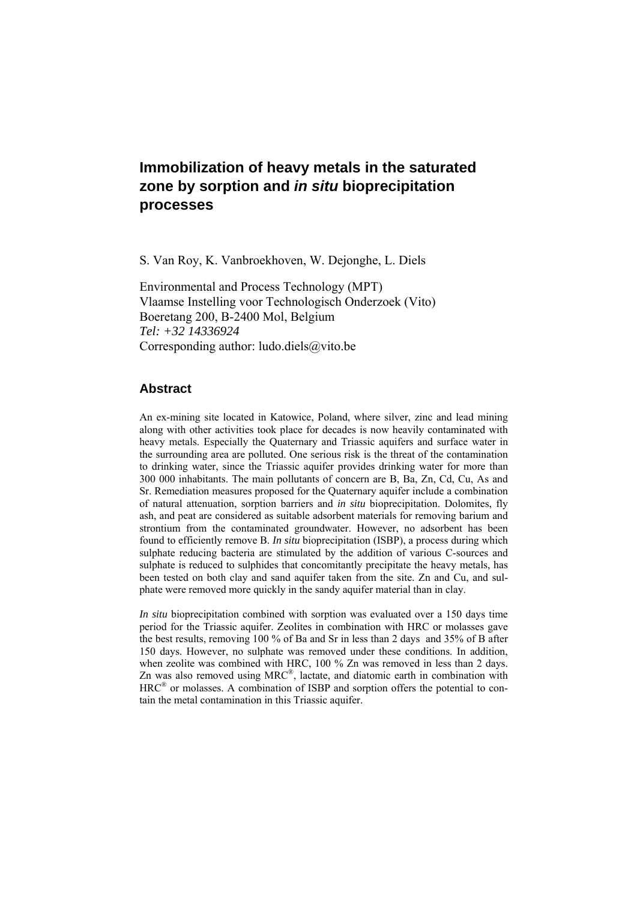S. Van Roy, K. Vanbroekhoven, W. Dejonghe, L. Diels

Environmental and Process Technology (MPT) Vlaamse Instelling voor Technologisch Onderzoek (Vito) Boeretang 200, B-2400 Mol, Belgium *Tel: +32 14336924*  Corresponding author: ludo.diels@vito.be

#### **Abstract**

An ex-mining site located in Katowice, Poland, where silver, zinc and lead mining along with other activities took place for decades is now heavily contaminated with heavy metals. Especially the Quaternary and Triassic aquifers and surface water in the surrounding area are polluted. One serious risk is the threat of the contamination to drinking water, since the Triassic aquifer provides drinking water for more than 300 000 inhabitants. The main pollutants of concern are B, Ba, Zn, Cd, Cu, As and Sr. Remediation measures proposed for the Quaternary aquifer include a combination of natural attenuation, sorption barriers and *in situ* bioprecipitation. Dolomites, fly ash, and peat are considered as suitable adsorbent materials for removing barium and strontium from the contaminated groundwater. However, no adsorbent has been found to efficiently remove B. *In situ* bioprecipitation (ISBP), a process during which sulphate reducing bacteria are stimulated by the addition of various C-sources and sulphate is reduced to sulphides that concomitantly precipitate the heavy metals, has been tested on both clay and sand aquifer taken from the site. Zn and Cu, and sulphate were removed more quickly in the sandy aquifer material than in clay.

*In situ* bioprecipitation combined with sorption was evaluated over a 150 days time period for the Triassic aquifer. Zeolites in combination with HRC or molasses gave the best results, removing 100 % of Ba and Sr in less than 2 days and 35% of B after 150 days. However, no sulphate was removed under these conditions. In addition, when zeolite was combined with HRC, 100 % Zn was removed in less than 2 days. Zn was also removed using MRC®, lactate, and diatomic earth in combination with  $HRC^®$  or molasses. A combination of ISBP and sorption offers the potential to contain the metal contamination in this Triassic aquifer.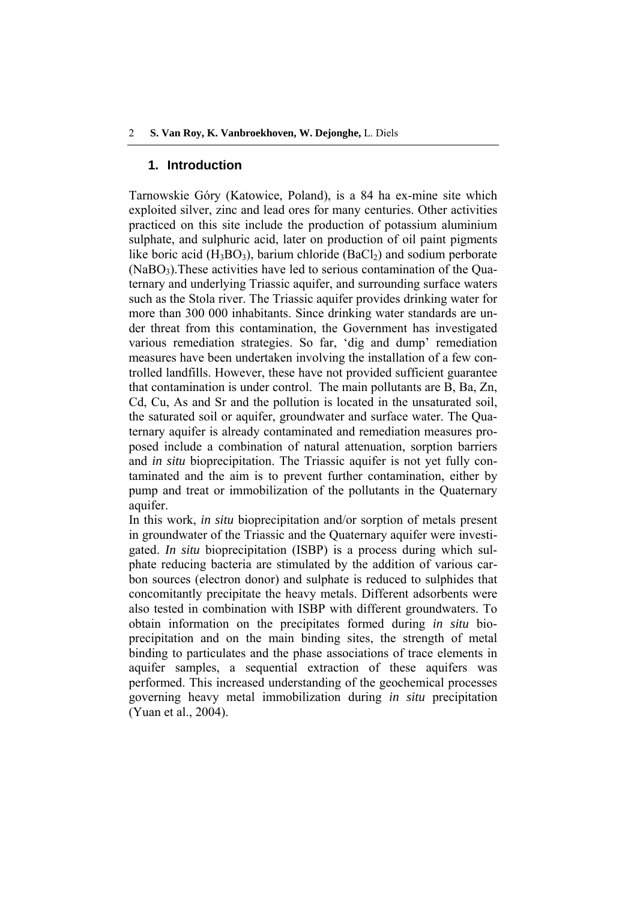### **1. Introduction**

Tarnowskie Gόry (Katowice, Poland), is a 84 ha ex-mine site which exploited silver, zinc and lead ores for many centuries. Other activities practiced on this site include the production of potassium aluminium sulphate, and sulphuric acid, later on production of oil paint pigments like boric acid  $(H_3BO_3)$ , barium chloride  $(BaCl_2)$  and sodium perborate (NaBO3).These activities have led to serious contamination of the Quaternary and underlying Triassic aquifer, and surrounding surface waters such as the Stola river. The Triassic aquifer provides drinking water for more than 300 000 inhabitants. Since drinking water standards are under threat from this contamination, the Government has investigated various remediation strategies. So far, 'dig and dump' remediation measures have been undertaken involving the installation of a few controlled landfills. However, these have not provided sufficient guarantee that contamination is under control. The main pollutants are B, Ba, Zn, Cd, Cu, As and Sr and the pollution is located in the unsaturated soil, the saturated soil or aquifer, groundwater and surface water. The Quaternary aquifer is already contaminated and remediation measures proposed include a combination of natural attenuation, sorption barriers and *in situ* bioprecipitation. The Triassic aquifer is not yet fully contaminated and the aim is to prevent further contamination, either by pump and treat or immobilization of the pollutants in the Quaternary aquifer.

In this work, *in situ* bioprecipitation and/or sorption of metals present in groundwater of the Triassic and the Quaternary aquifer were investigated. *In situ* bioprecipitation (ISBP) is a process during which sulphate reducing bacteria are stimulated by the addition of various carbon sources (electron donor) and sulphate is reduced to sulphides that concomitantly precipitate the heavy metals. Different adsorbents were also tested in combination with ISBP with different groundwaters. To obtain information on the precipitates formed during *in situ* bioprecipitation and on the main binding sites, the strength of metal binding to particulates and the phase associations of trace elements in aquifer samples, a sequential extraction of these aquifers was performed. This increased understanding of the geochemical processes governing heavy metal immobilization during *in situ* precipitation (Yuan et al., 2004).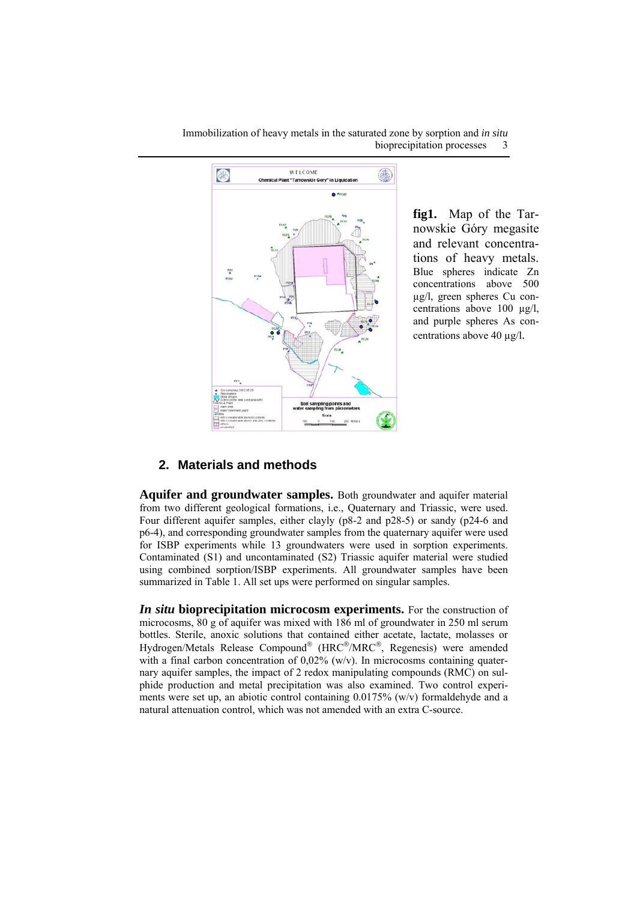

> **fig1.** Map of the Tarnowskie Gόry megasite and relevant concentrations of heavy metals. Blue spheres indicate Zn concentrations above 500 µg/l, green spheres Cu concentrations above 100 µg/l, and purple spheres As concentrations above 40 ug/l.

# **2. Materials and methods**

**Aquifer and groundwater samples.** Both groundwater and aquifer material from two different geological formations, i.e., Quaternary and Triassic, were used. Four different aquifer samples, either clayly (p8-2 and p28-5) or sandy (p24-6 and p6-4), and corresponding groundwater samples from the quaternary aquifer were used for ISBP experiments while 13 groundwaters were used in sorption experiments. Contaminated (S1) and uncontaminated (S2) Triassic aquifer material were studied using combined sorption/ISBP experiments. All groundwater samples have been summarized in Table 1. All set ups were performed on singular samples.

*In situ* **bioprecipitation microcosm experiments.** For the construction of microcosms, 80 g of aquifer was mixed with 186 ml of groundwater in 250 ml serum bottles. Sterile, anoxic solutions that contained either acetate, lactate, molasses or Hydrogen/Metals Release Compound® (HRC®/MRC®, Regenesis) were amended with a final carbon concentration of  $0.02\%$  (w/v). In microcosms containing quaternary aquifer samples, the impact of 2 redox manipulating compounds (RMC) on sulphide production and metal precipitation was also examined. Two control experiments were set up, an abiotic control containing 0.0175% (w/v) formaldehyde and a natural attenuation control, which was not amended with an extra C-source.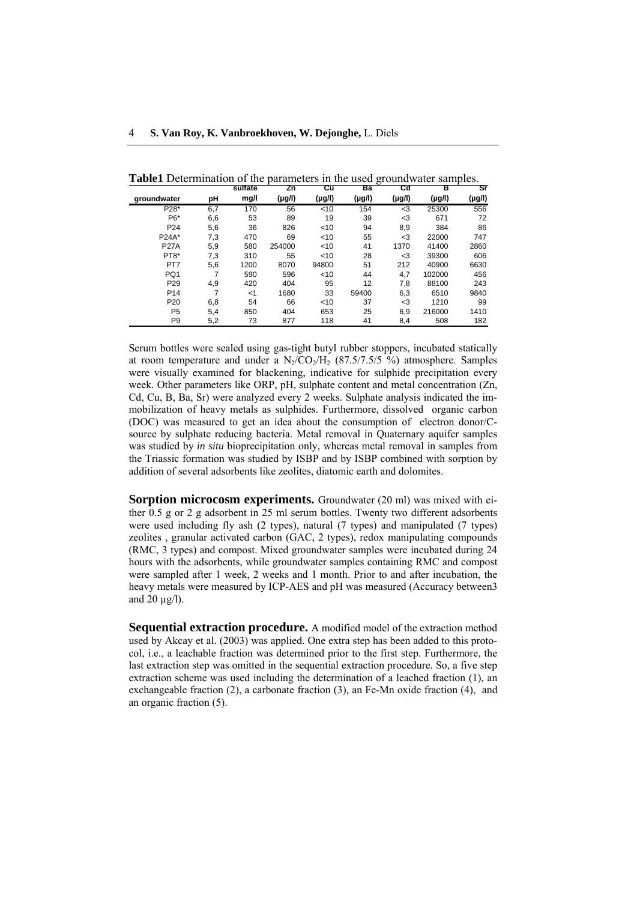|                 |     | sulfate | Zn     | Cu     | Вa     | Cd          | в      | Sr     |
|-----------------|-----|---------|--------|--------|--------|-------------|--------|--------|
| groundwater     | рH  | mg/l    | (µg/l) | (µg/l) | (µg/l) | $(\mu g/l)$ | (µg/l) | (µg/l) |
| P28*            | 6,7 | 170     | 56     | < 10   | 154    | $3$         | 25300  | 556    |
| P6*             | 6,6 | 53      | 89     | 19     | 39     | $3$         | 671    | 72     |
| P <sub>24</sub> | 5,6 | 36      | 826    | < 10   | 94     | 8,9         | 384    | 86     |
| P24A*           | 7,3 | 470     | 69     | <10    | 55     | $3$         | 22000  | 747    |
| <b>P27A</b>     | 5,9 | 580     | 254000 | < 10   | 41     | 1370        | 41400  | 2860   |
| PT8*            | 7,3 | 310     | 55     | < 10   | 28     | $3$         | 39300  | 606    |
| PT7             | 5,6 | 1200    | 8070   | 94800  | 51     | 212         | 40900  | 6630   |
| PQ1             | 7   | 590     | 596    | < 10   | 44     | 4,7         | 102000 | 456    |
| P <sub>29</sub> | 4,9 | 420     | 404    | 95     | 12     | 7,8         | 88100  | 243    |
| P <sub>14</sub> | 7   | $<$ 1   | 1680   | 33     | 59400  | 6,3         | 6510   | 9840   |
| P <sub>20</sub> | 6,8 | 54      | 66     | < 10   | 37     | $3$         | 1210   | 99     |
| P <sub>5</sub>  | 5,4 | 850     | 404    | 653    | 25     | 6,9         | 216000 | 1410   |
| P <sub>9</sub>  | 5,2 | 73      | 877    | 118    | 41     | 8,4         | 508    | 182    |

**Table1** Determination of the parameters in the used groundwater samples.

Serum bottles were sealed using gas-tight butyl rubber stoppers, incubated statically at room temperature and under a  $N_2/CO_2/H_2$  (87.5/7.5/5 %) atmosphere. Samples were visually examined for blackening, indicative for sulphide precipitation every week. Other parameters like ORP, pH, sulphate content and metal concentration (Zn, Cd, Cu, B, Ba, Sr) were analyzed every 2 weeks. Sulphate analysis indicated the immobilization of heavy metals as sulphides. Furthermore, dissolved organic carbon (DOC) was measured to get an idea about the consumption of electron donor/Csource by sulphate reducing bacteria. Metal removal in Quaternary aquifer samples was studied by *in situ* bioprecipitation only, whereas metal removal in samples from the Triassic formation was studied by ISBP and by ISBP combined with sorption by addition of several adsorbents like zeolites, diatomic earth and dolomites.

Sorption microcosm experiments. Groundwater (20 ml) was mixed with either 0.5 g or 2 g adsorbent in 25 ml serum bottles. Twenty two different adsorbents were used including fly ash (2 types), natural (7 types) and manipulated (7 types) zeolites , granular activated carbon (GAC, 2 types), redox manipulating compounds (RMC, 3 types) and compost. Mixed groundwater samples were incubated during 24 hours with the adsorbents, while groundwater samples containing RMC and compost were sampled after 1 week, 2 weeks and 1 month. Prior to and after incubation, the heavy metals were measured by ICP-AES and pH was measured (Accuracy between3 and 20  $\mu$ g/l).

**Sequential extraction procedure.** A modified model of the extraction method used by Akcay et al. (2003) was applied. One extra step has been added to this protocol, i.e., a leachable fraction was determined prior to the first step. Furthermore, the last extraction step was omitted in the sequential extraction procedure. So, a five step extraction scheme was used including the determination of a leached fraction (1), an exchangeable fraction (2), a carbonate fraction (3), an Fe-Mn oxide fraction (4), and an organic fraction (5).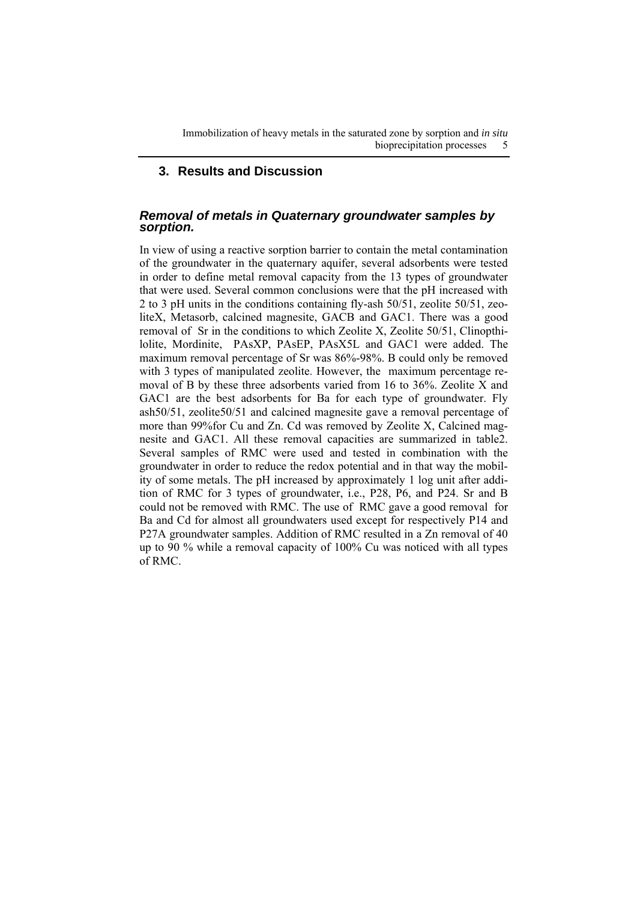# **3. Results and Discussion**

## *Removal of metals in Quaternary groundwater samples by sorption.*

In view of using a reactive sorption barrier to contain the metal contamination of the groundwater in the quaternary aquifer, several adsorbents were tested in order to define metal removal capacity from the 13 types of groundwater that were used. Several common conclusions were that the pH increased with 2 to 3 pH units in the conditions containing fly-ash 50/51, zeolite 50/51, zeoliteX, Metasorb, calcined magnesite, GACB and GAC1. There was a good removal of Sr in the conditions to which Zeolite X, Zeolite 50/51, Clinopthilolite, Mordinite, PAsXP, PAsEP, PAsX5L and GAC1 were added. The maximum removal percentage of Sr was 86%-98%. B could only be removed with 3 types of manipulated zeolite. However, the maximum percentage removal of B by these three adsorbents varied from 16 to 36%. Zeolite X and GAC1 are the best adsorbents for Ba for each type of groundwater. Fly ash50/51, zeolite50/51 and calcined magnesite gave a removal percentage of more than 99%for Cu and Zn. Cd was removed by Zeolite X, Calcined magnesite and GAC1. All these removal capacities are summarized in table2. Several samples of RMC were used and tested in combination with the groundwater in order to reduce the redox potential and in that way the mobility of some metals. The pH increased by approximately 1 log unit after addition of RMC for 3 types of groundwater, i.e., P28, P6, and P24. Sr and B could not be removed with RMC. The use of RMC gave a good removal for Ba and Cd for almost all groundwaters used except for respectively P14 and P27A groundwater samples. Addition of RMC resulted in a Zn removal of 40 up to 90 % while a removal capacity of 100% Cu was noticed with all types of RMC.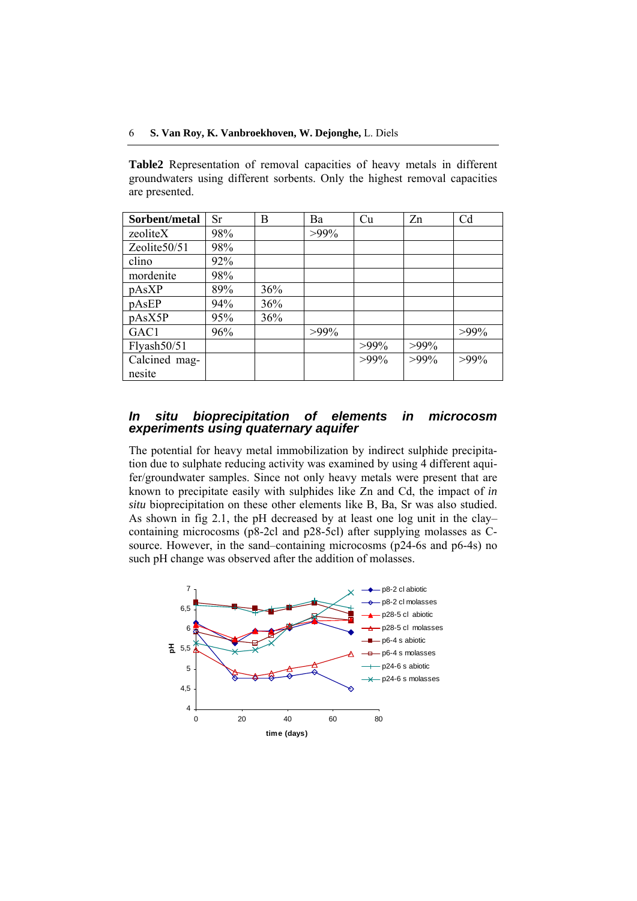**Table2** Representation of removal capacities of heavy metals in different groundwaters using different sorbents. Only the highest removal capacities are presented.

| Sorbent/metal | Sr  | B   | Ba      | Cu      | Zn      | C <sub>d</sub> |
|---------------|-----|-----|---------|---------|---------|----------------|
| zeoliteX      | 98% |     | $>99\%$ |         |         |                |
| Zeolite50/51  | 98% |     |         |         |         |                |
| clino         | 92% |     |         |         |         |                |
| mordenite     | 98% |     |         |         |         |                |
| pAsXP         | 89% | 36% |         |         |         |                |
| pAsEP         | 94% | 36% |         |         |         |                |
| pAsX5P        | 95% | 36% |         |         |         |                |
| GAC1          | 96% |     | $>99\%$ |         |         | $>99\%$        |
| Flyash50/51   |     |     |         | $>99\%$ | $>99\%$ |                |
| Calcined mag- |     |     |         | $>99\%$ | $>99\%$ | $>99\%$        |
| nesite        |     |     |         |         |         |                |

#### *In situ bioprecipitation of elements in microcosm experiments using quaternary aquifer*

The potential for heavy metal immobilization by indirect sulphide precipitation due to sulphate reducing activity was examined by using 4 different aquifer/groundwater samples. Since not only heavy metals were present that are known to precipitate easily with sulphides like Zn and Cd, the impact of *in situ* bioprecipitation on these other elements like B, Ba, Sr was also studied. As shown in fig 2.1, the pH decreased by at least one log unit in the clay– containing microcosms (p8-2cl and p28-5cl) after supplying molasses as Csource. However, in the sand–containing microcosms (p24-6s and p6-4s) no such pH change was observed after the addition of molasses.

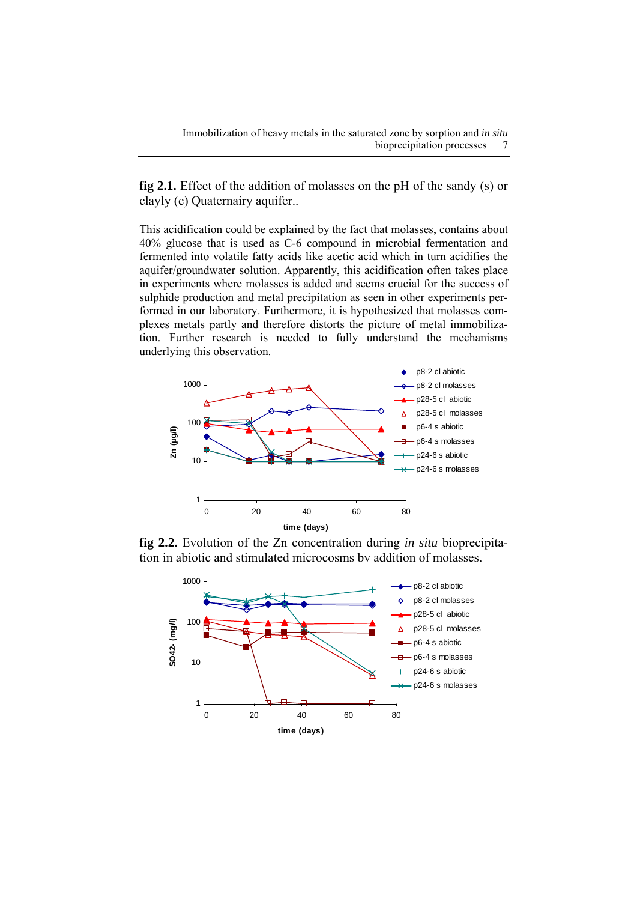**fig 2.1.** Effect of the addition of molasses on the pH of the sandy (s) or clayly (c) Quaternairy aquifer..

This acidification could be explained by the fact that molasses, contains about 40% glucose that is used as C-6 compound in microbial fermentation and fermented into volatile fatty acids like acetic acid which in turn acidifies the aquifer/groundwater solution. Apparently, this acidification often takes place in experiments where molasses is added and seems crucial for the success of sulphide production and metal precipitation as seen in other experiments performed in our laboratory. Furthermore, it is hypothesized that molasses complexes metals partly and therefore distorts the picture of metal immobilization. Further research is needed to fully understand the mechanisms underlying this observation.



**fig 2.2.** Evolution of the Zn concentration during *in situ* bioprecipitation in abiotic and stimulated microcosms by addition of molasses.

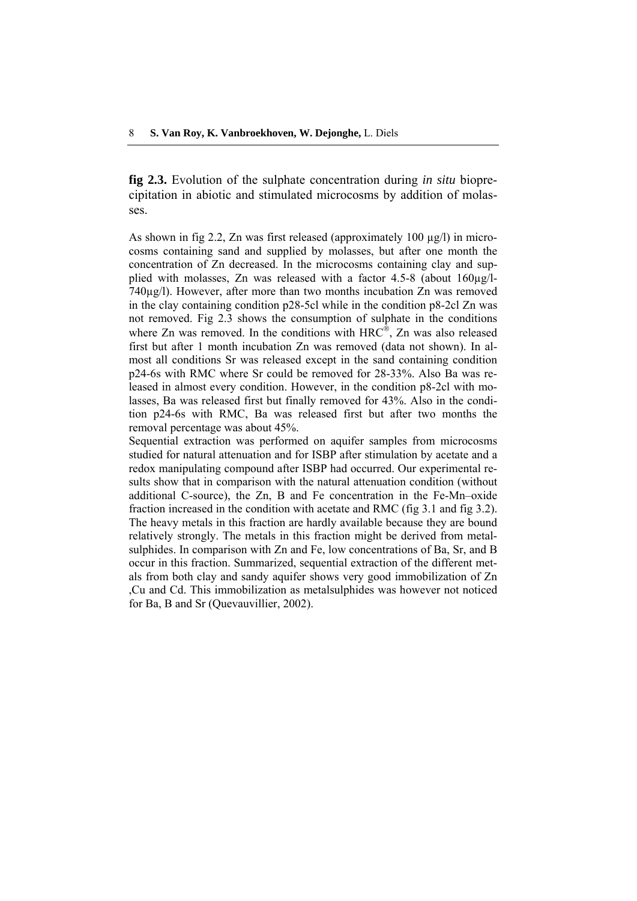**fig 2.3.** Evolution of the sulphate concentration during *in situ* bioprecipitation in abiotic and stimulated microcosms by addition of molasses.

As shown in fig 2.2, Zn was first released (approximately 100  $\mu$ g/l) in microcosms containing sand and supplied by molasses, but after one month the concentration of Zn decreased. In the microcosms containing clay and supplied with molasses, Zn was released with a factor 4.5-8 (about 160µg/l-740µg/l). However, after more than two months incubation Zn was removed in the clay containing condition p28-5cl while in the condition p8-2cl Zn was not removed. Fig 2.3 shows the consumption of sulphate in the conditions where Zn was removed. In the conditions with HRC<sup>®</sup>, Zn was also released first but after 1 month incubation Zn was removed (data not shown). In almost all conditions Sr was released except in the sand containing condition p24-6s with RMC where Sr could be removed for 28-33%. Also Ba was released in almost every condition. However, in the condition p8-2cl with molasses, Ba was released first but finally removed for 43%. Also in the condition p24-6s with RMC, Ba was released first but after two months the removal percentage was about 45%.

Sequential extraction was performed on aquifer samples from microcosms studied for natural attenuation and for ISBP after stimulation by acetate and a redox manipulating compound after ISBP had occurred. Our experimental results show that in comparison with the natural attenuation condition (without additional C-source), the Zn, B and Fe concentration in the Fe-Mn–oxide fraction increased in the condition with acetate and RMC (fig 3.1 and fig 3.2). The heavy metals in this fraction are hardly available because they are bound relatively strongly. The metals in this fraction might be derived from metalsulphides. In comparison with Zn and Fe, low concentrations of Ba, Sr, and B occur in this fraction. Summarized, sequential extraction of the different metals from both clay and sandy aquifer shows very good immobilization of Zn ,Cu and Cd. This immobilization as metalsulphides was however not noticed for Ba, B and Sr (Quevauvillier, 2002).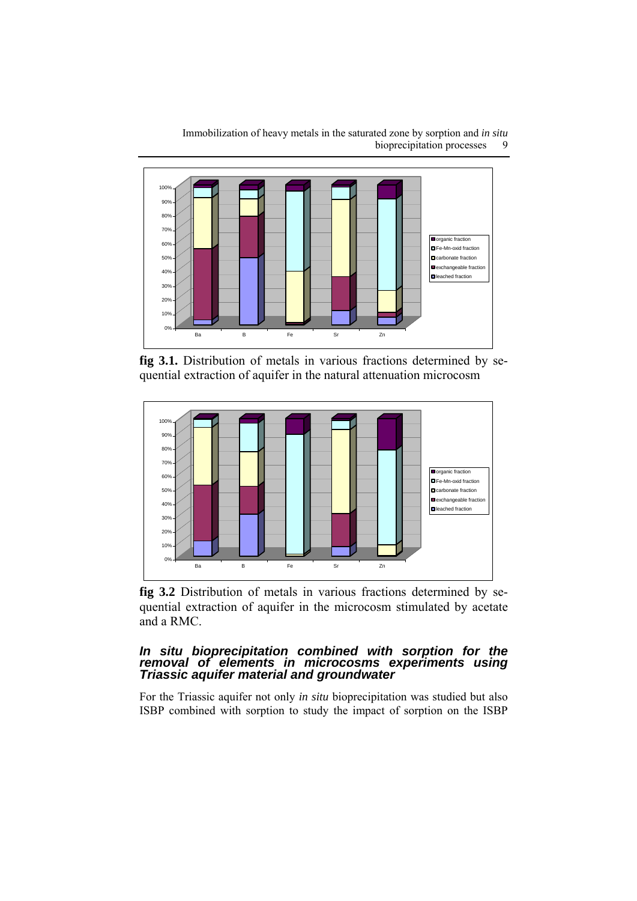

**fig 3.1.** Distribution of metals in various fractions determined by sequential extraction of aquifer in the natural attenuation microcosm



**fig 3.2** Distribution of metals in various fractions determined by sequential extraction of aquifer in the microcosm stimulated by acetate and a RMC.

#### *In situ bioprecipitation combined with sorption for the removal of elements in microcosms experiments using Triassic aquifer material and groundwater*

For the Triassic aquifer not only *in situ* bioprecipitation was studied but also ISBP combined with sorption to study the impact of sorption on the ISBP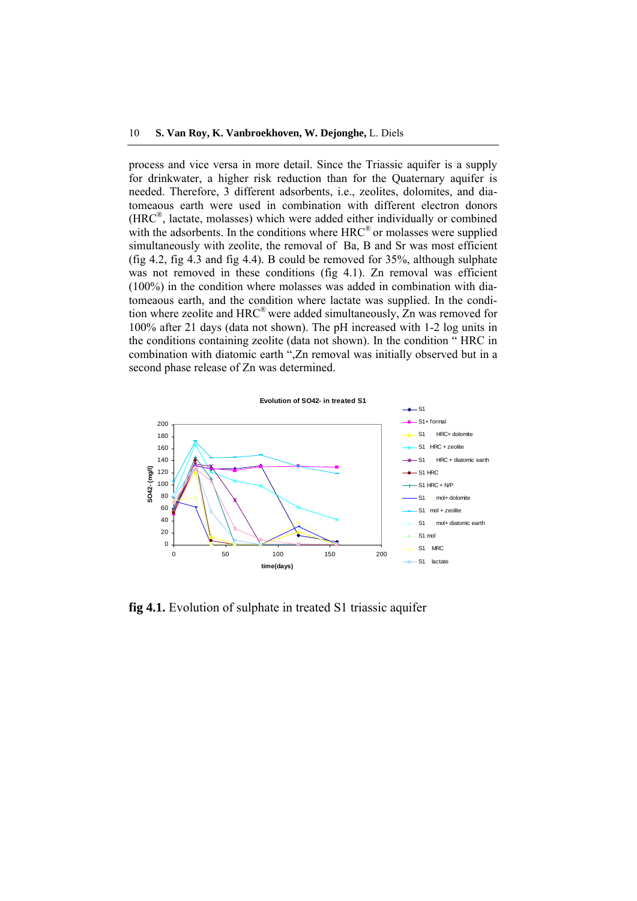process and vice versa in more detail. Since the Triassic aquifer is a supply for drinkwater, a higher risk reduction than for the Quaternary aquifer is needed. Therefore, 3 different adsorbents, i.e., zeolites, dolomites, and diatomeaous earth were used in combination with different electron donors (HRC®, lactate, molasses) which were added either individually or combined with the adsorbents. In the conditions where HRC<sup>®</sup> or molasses were supplied simultaneously with zeolite, the removal of Ba, B and Sr was most efficient (fig 4.2, fig 4.3 and fig 4.4). B could be removed for 35%, although sulphate was not removed in these conditions (fig 4.1). Zn removal was efficient (100%) in the condition where molasses was added in combination with diatomeaous earth, and the condition where lactate was supplied. In the condition where zeolite and  $HRC^{\circledast}$  were added simultaneously,  $Zn$  was removed for 100% after 21 days (data not shown). The pH increased with 1-2 log units in the conditions containing zeolite (data not shown). In the condition " HRC in combination with diatomic earth ",Zn removal was initially observed but in a second phase release of Zn was determined.



**fig 4.1.** Evolution of sulphate in treated S1 triassic aquifer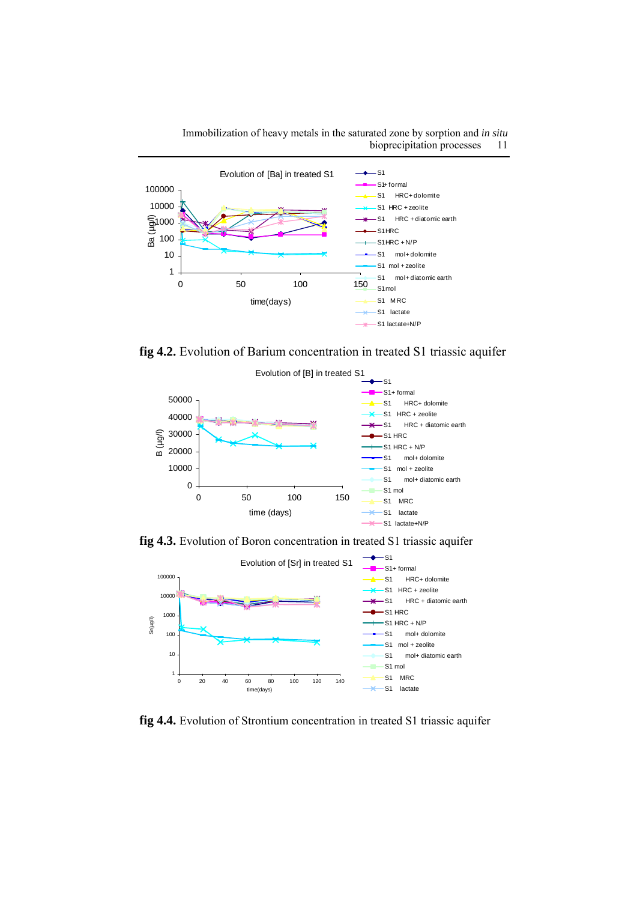

**fig 4.2.** Evolution of Barium concentration in treated S1 triassic aquifer



**fig 4.3.** Evolution of Boron concentration in treated S1 triassic aquifer



**fig 4.4.** Evolution of Strontium concentration in treated S1 triassic aquifer